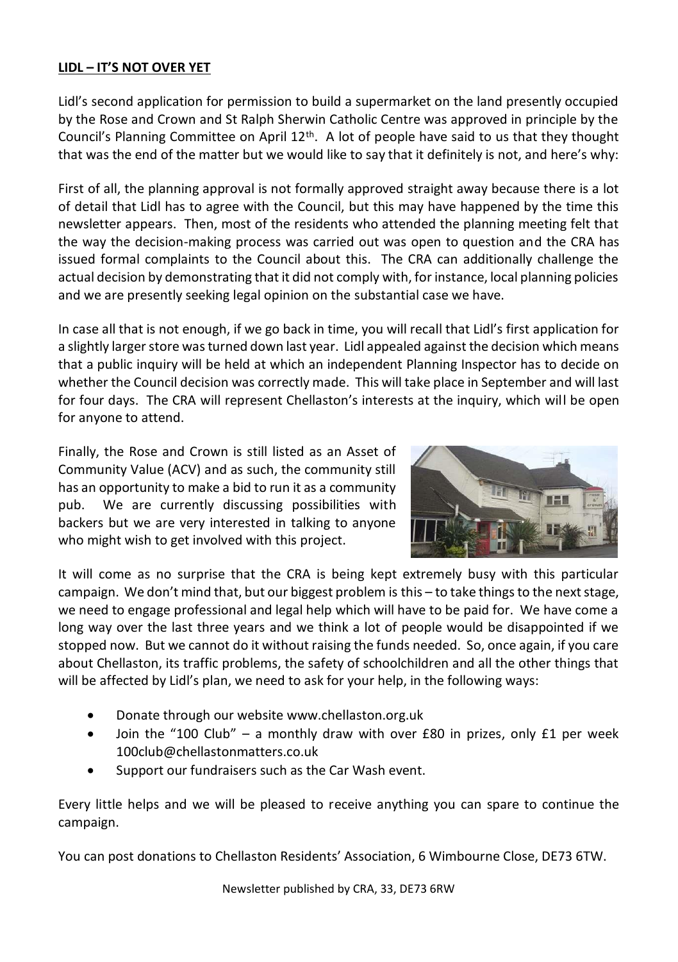## **LIDL – IT'S NOT OVER YET**

Lidl's second application for permission to build a supermarket on the land presently occupied by the Rose and Crown and St Ralph Sherwin Catholic Centre was approved in principle by the Council's Planning Committee on April  $12<sup>th</sup>$ . A lot of people have said to us that they thought that was the end of the matter but we would like to say that it definitely is not, and here's why:

First of all, the planning approval is not formally approved straight away because there is a lot of detail that Lidl has to agree with the Council, but this may have happened by the time this newsletter appears. Then, most of the residents who attended the planning meeting felt that the way the decision-making process was carried out was open to question and the CRA has issued formal complaints to the Council about this. The CRA can additionally challenge the actual decision by demonstrating that it did not comply with, for instance, local planning policies and we are presently seeking legal opinion on the substantial case we have.

In case all that is not enough, if we go back in time, you will recall that Lidl's first application for a slightly larger store was turned down last year. Lidl appealed against the decision which means that a public inquiry will be held at which an independent Planning Inspector has to decide on whether the Council decision was correctly made. This will take place in September and will last for four days. The CRA will represent Chellaston's interests at the inquiry, which will be open for anyone to attend.

Finally, the Rose and Crown is still listed as an Asset of Community Value (ACV) and as such, the community still has an opportunity to make a bid to run it as a community pub. We are currently discussing possibilities with backers but we are very interested in talking to anyone who might wish to get involved with this project.



It will come as no surprise that the CRA is being kept extremely busy with this particular campaign. We don't mind that, but our biggest problem is this – to take things to the next stage, we need to engage professional and legal help which will have to be paid for. We have come a long way over the last three years and we think a lot of people would be disappointed if we stopped now. But we cannot do it without raising the funds needed. So, once again, if you care about Chellaston, its traffic problems, the safety of schoolchildren and all the other things that will be affected by Lidl's plan, we need to ask for your help, in the following ways:

- Donate through our website www.chellaston.org.uk
- Join the "100 Club" a monthly draw with over £80 in prizes, only £1 per week 100club@chellastonmatters.co.uk
- Support our fundraisers such as the Car Wash event.

Every little helps and we will be pleased to receive anything you can spare to continue the campaign.

You can post donations to Chellaston Residents' Association, 6 Wimbourne Close, DE73 6TW.